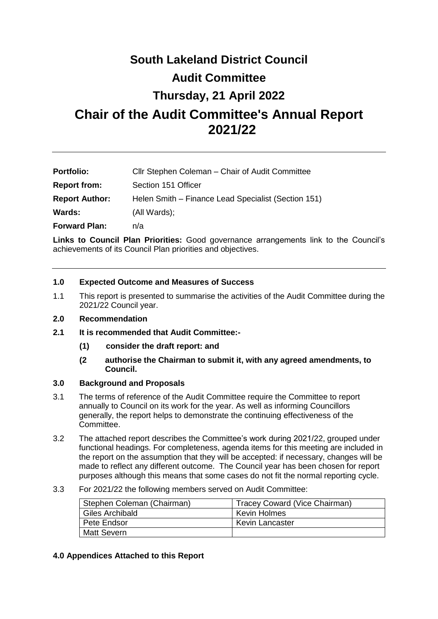# **South Lakeland District Council Audit Committee**

## **Thursday, 21 April 2022**

## **Chair of the Audit Committee's Annual Report 2021/22**

| <b>Portfolio:</b>     | Cllr Stephen Coleman – Chair of Audit Committee     |
|-----------------------|-----------------------------------------------------|
| <b>Report from:</b>   | Section 151 Officer                                 |
| <b>Report Author:</b> | Helen Smith – Finance Lead Specialist (Section 151) |
| Wards:                | (All Wards);                                        |
| <b>Forward Plan:</b>  | n/a                                                 |

**Links to Council Plan Priorities:** Good governance arrangements link to the Council's achievements of its Council Plan priorities and objectives.

## **1.0 Expected Outcome and Measures of Success**

1.1 This report is presented to summarise the activities of the Audit Committee during the 2021/22 Council year.

#### **2.0 Recommendation**

- **2.1 It is recommended that Audit Committee:-**
	- **(1) consider the draft report: and**
	- **(2 authorise the Chairman to submit it, with any agreed amendments, to Council.**

#### **3.0 Background and Proposals**

- 3.1 The terms of reference of the Audit Committee require the Committee to report annually to Council on its work for the year. As well as informing Councillors generally, the report helps to demonstrate the continuing effectiveness of the Committee.
- 3.2 The attached report describes the Committee's work during 2021/22, grouped under functional headings. For completeness, agenda items for this meeting are included in the report on the assumption that they will be accepted: if necessary, changes will be made to reflect any different outcome. The Council year has been chosen for report purposes although this means that some cases do not fit the normal reporting cycle.
- 3.3 For 2021/22 the following members served on Audit Committee:

| Stephen Coleman (Chairman) | Tracey Coward (Vice Chairman) |
|----------------------------|-------------------------------|
| Giles Archibald            | Kevin Holmes                  |
| Pete Endsor                | Kevin Lancaster               |
| Matt Severn                |                               |

#### **4.0 Appendices Attached to this Report**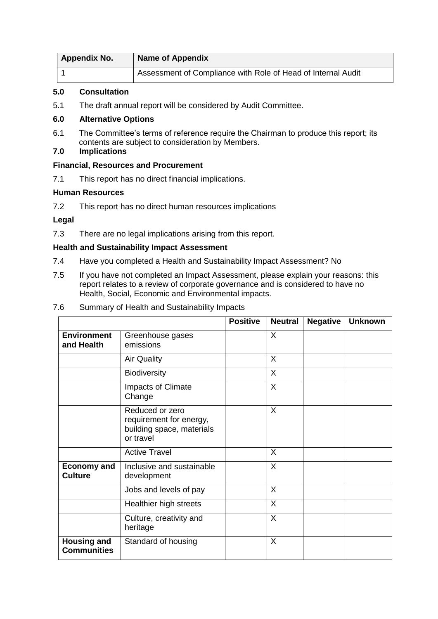| <b>Appendix No.</b> | <b>Name of Appendix</b>                                      |
|---------------------|--------------------------------------------------------------|
|                     | Assessment of Compliance with Role of Head of Internal Audit |

#### **5.0 Consultation**

5.1 The draft annual report will be considered by Audit Committee.

## **6.0 Alternative Options**

- 6.1 The Committee's terms of reference require the Chairman to produce this report; its contents are subject to consideration by Members.
- **7.0 Implications**

## **Financial, Resources and Procurement**

7.1 This report has no direct financial implications.

## **Human Resources**

7.2 This report has no direct human resources implications

## **Legal**

7.3 There are no legal implications arising from this report.

## **Health and Sustainability Impact Assessment**

- 7.4 Have you completed a Health and Sustainability Impact Assessment? No
- 7.5 If you have not completed an Impact Assessment, please explain your reasons: this report relates to a review of corporate governance and is considered to have no Health, Social, Economic and Environmental impacts.

|                                      | Hodith, Obeidi, Economic dhu Emmoninental linpacts.                                  |                 |                |                 |                |
|--------------------------------------|--------------------------------------------------------------------------------------|-----------------|----------------|-----------------|----------------|
| .6                                   | Summary of Health and Sustainability Impacts                                         |                 |                |                 |                |
|                                      |                                                                                      | <b>Positive</b> | <b>Neutral</b> | <b>Negative</b> | <b>Unknown</b> |
| <b>Environment</b><br>and Health     | Greenhouse gases<br>emissions                                                        |                 | $\sf X$        |                 |                |
|                                      | <b>Air Quality</b>                                                                   |                 | $\sf X$        |                 |                |
|                                      | <b>Biodiversity</b>                                                                  |                 | X              |                 |                |
|                                      | Impacts of Climate<br>Change                                                         |                 | $\sf X$        |                 |                |
|                                      | Reduced or zero<br>requirement for energy,<br>building space, materials<br>or travel |                 | $\sf X$        |                 |                |
|                                      | <b>Active Travel</b>                                                                 |                 | $\sf X$        |                 |                |
| <b>Economy and</b><br><b>Culture</b> | Inclusive and sustainable<br>development                                             |                 | $\sf X$        |                 |                |
|                                      | Jobs and levels of pay                                                               |                 | $\sf X$        |                 |                |
|                                      | Healthier high streets                                                               |                 | $\times$       |                 |                |
|                                      | Culture, creativity and                                                              |                 | X              |                 |                |

Standard of housing **X** 

heritage

**Housing and Communities**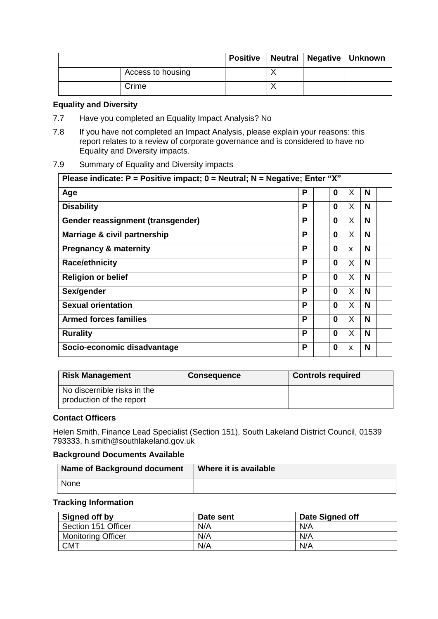|                   |  | Positive   Neutral   Negative   Unknown |
|-------------------|--|-----------------------------------------|
| Access to housing |  |                                         |
| Crime             |  |                                         |

#### **Equality and Diversity**

- 7.7 Have you completed an Equality Impact Analysis? No
- 7.8 If you have not completed an Impact Analysis, please explain your reasons: this report relates to a review of corporate governance and is considered to have no Equality and Diversity impacts.

#### 7.9 Summary of Equality and Diversity impacts

| Please indicate: $P =$ Positive impact; $0 =$ Neutral; N = Negative; Enter "X" |   |          |    |   |
|--------------------------------------------------------------------------------|---|----------|----|---|
| Age                                                                            | Р | 0        | X  | N |
| <b>Disability</b>                                                              | Р | 0        | X  | N |
| Gender reassignment (transgender)                                              | Р | 0        | X  | N |
| Marriage & civil partnership                                                   | Р | 0        | X  | N |
| <b>Pregnancy &amp; maternity</b>                                               | Р | 0        | X  | N |
| <b>Race/ethnicity</b>                                                          | Р | 0        | X. | N |
| <b>Religion or belief</b>                                                      | Р | $\Omega$ | X  | N |
| Sex/gender                                                                     | P | 0        | X  | N |
| <b>Sexual orientation</b>                                                      | Р | 0        | X  | N |
| <b>Armed forces families</b>                                                   | Р | 0        | X  | N |
| <b>Rurality</b>                                                                | P | 0        | X  | N |
| Socio-economic disadvantage                                                    | P | 0        | X  | N |

| <b>Risk Management</b>                                  | <b>Consequence</b> | <b>Controls required</b> |
|---------------------------------------------------------|--------------------|--------------------------|
| No discernible risks in the<br>production of the report |                    |                          |

#### **Contact Officers**

Helen Smith, Finance Lead Specialist (Section 151), South Lakeland District Council, 01539 793333, h.smith@southlakeland.gov.uk

#### **Background Documents Available**

| <b>Name of Background document</b> | Where it is available |
|------------------------------------|-----------------------|
| None                               |                       |

#### **Tracking Information**

| Signed off by             | Date sent | Date Signed off |
|---------------------------|-----------|-----------------|
| Section 151 Officer       | N/A       | N/A             |
| <b>Monitoring Officer</b> | N/A       | N/A             |
| CMT                       | N/A       | N/A             |